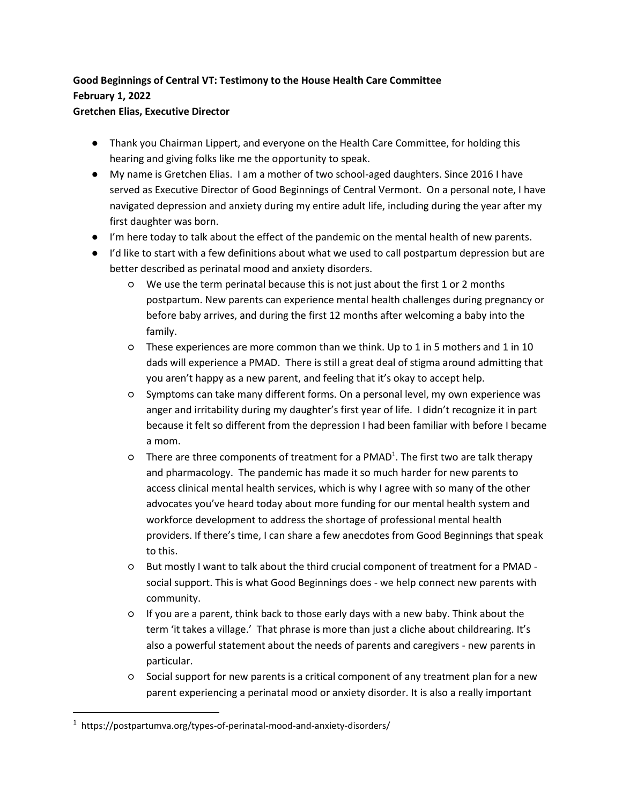## **Good Beginnings of Central VT: Testimony to the House Health Care Committee February 1, 2022**

## **Gretchen Elias, Executive Director**

- Thank you Chairman Lippert, and everyone on the Health Care Committee, for holding this hearing and giving folks like me the opportunity to speak.
- My name is Gretchen Elias. I am a mother of two school-aged daughters. Since 2016 I have served as Executive Director of Good Beginnings of Central Vermont. On a personal note, I have navigated depression and anxiety during my entire adult life, including during the year after my first daughter was born.
- I'm here today to talk about the effect of the pandemic on the mental health of new parents.
- I'd like to start with a few definitions about what we used to call postpartum depression but are better described as perinatal mood and anxiety disorders.
	- We use the term perinatal because this is not just about the first 1 or 2 months postpartum. New parents can experience mental health challenges during pregnancy or before baby arrives, and during the first 12 months after welcoming a baby into the family.
	- These experiences are more common than we think. Up to 1 in 5 mothers and 1 in 10 dads will experience a PMAD. There is still a great deal of stigma around admitting that you aren't happy as a new parent, and feeling that it's okay to accept help.
	- Symptoms can take many different forms. On a personal level, my own experience was anger and irritability during my daughter's first year of life. I didn't recognize it in part because it felt so different from the depression I had been familiar with before I became a mom.
	- **O** There are three components of treatment for a PMAD<sup>1</sup>. The first two are talk therapy and pharmacology. The pandemic has made it so much harder for new parents to access clinical mental health services, which is why I agree with so many of the other advocates you've heard today about more funding for our mental health system and workforce development to address the shortage of professional mental health providers. If there's time, I can share a few anecdotes from Good Beginnings that speak to this.
	- But mostly I want to talk about the third crucial component of treatment for a PMAD social support. This is what Good Beginnings does - we help connect new parents with community.
	- If you are a parent, think back to those early days with a new baby. Think about the term 'it takes a village.' That phrase is more than just a cliche about childrearing. It's also a powerful statement about the needs of parents and caregivers - new parents in particular.
	- Social support for new parents is a critical component of any treatment plan for a new parent experiencing a perinatal mood or anxiety disorder. It is also a really important

<sup>&</sup>lt;sup>1</sup> https://postpartumva.org/types-of-perinatal-mood-and-anxiety-disorders/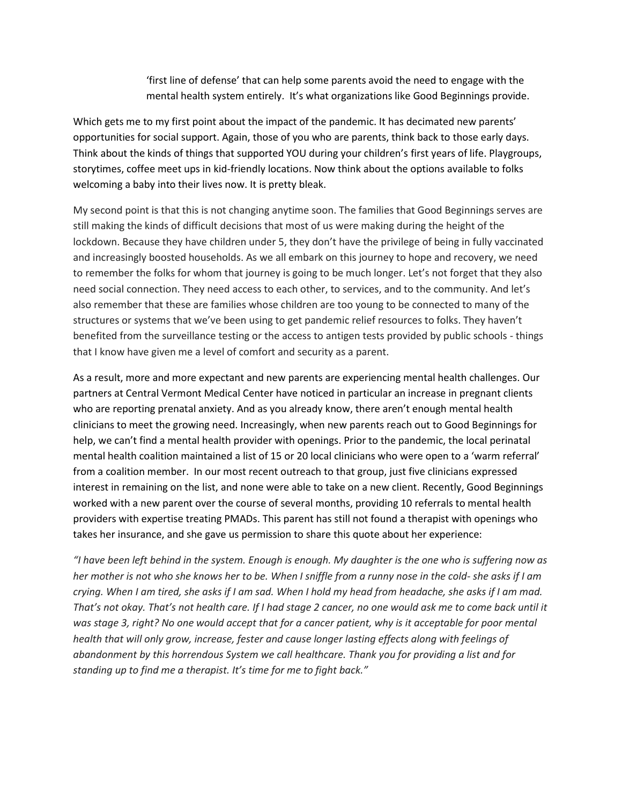'first line of defense' that can help some parents avoid the need to engage with the mental health system entirely. It's what organizations like Good Beginnings provide.

Which gets me to my first point about the impact of the pandemic. It has decimated new parents' opportunities for social support. Again, those of you who are parents, think back to those early days. Think about the kinds of things that supported YOU during your children's first years of life. Playgroups, storytimes, coffee meet ups in kid-friendly locations. Now think about the options available to folks welcoming a baby into their lives now. It is pretty bleak.

My second point is that this is not changing anytime soon. The families that Good Beginnings serves are still making the kinds of difficult decisions that most of us were making during the height of the lockdown. Because they have children under 5, they don't have the privilege of being in fully vaccinated and increasingly boosted households. As we all embark on this journey to hope and recovery, we need to remember the folks for whom that journey is going to be much longer. Let's not forget that they also need social connection. They need access to each other, to services, and to the community. And let's also remember that these are families whose children are too young to be connected to many of the structures or systems that we've been using to get pandemic relief resources to folks. They haven't benefited from the surveillance testing or the access to antigen tests provided by public schools - things that I know have given me a level of comfort and security as a parent.

As a result, more and more expectant and new parents are experiencing mental health challenges. Our partners at Central Vermont Medical Center have noticed in particular an increase in pregnant clients who are reporting prenatal anxiety. And as you already know, there aren't enough mental health clinicians to meet the growing need. Increasingly, when new parents reach out to Good Beginnings for help, we can't find a mental health provider with openings. Prior to the pandemic, the local perinatal mental health coalition maintained a list of 15 or 20 local clinicians who were open to a 'warm referral' from a coalition member. In our most recent outreach to that group, just five clinicians expressed interest in remaining on the list, and none were able to take on a new client. Recently, Good Beginnings worked with a new parent over the course of several months, providing 10 referrals to mental health providers with expertise treating PMADs. This parent has still not found a therapist with openings who takes her insurance, and she gave us permission to share this quote about her experience:

*"I have been left behind in the system. Enough is enough. My daughter is the one who is suffering now as her mother is not who she knows her to be. When I sniffle from a runny nose in the cold- she asks if I am crying. When I am tired, she asks if I am sad. When I hold my head from headache, she asks if I am mad. That's not okay. That's not health care. If I had stage 2 cancer, no one would ask me to come back until it was stage 3, right? No one would accept that for a cancer patient, why is it acceptable for poor mental health that will only grow, increase, fester and cause longer lasting effects along with feelings of abandonment by this horrendous System we call healthcare. Thank you for providing a list and for standing up to find me a therapist. It's time for me to fight back."*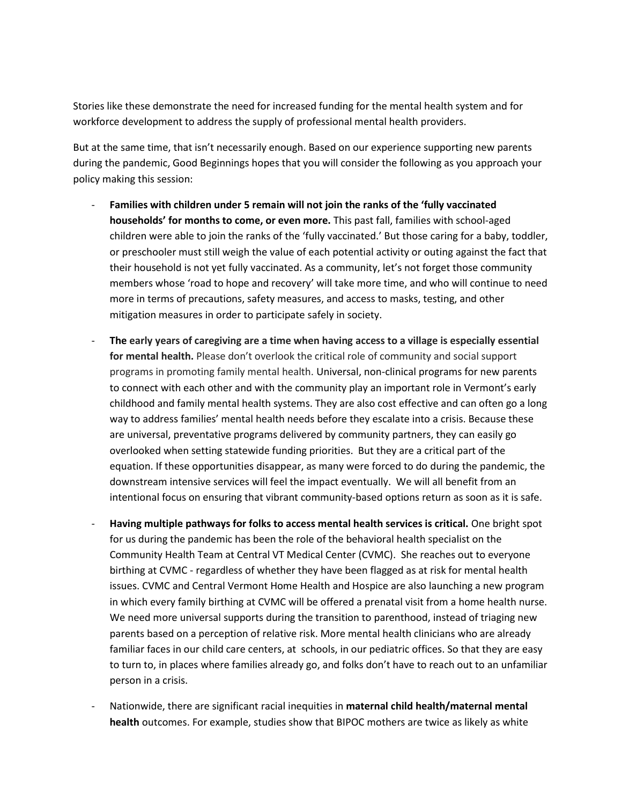Stories like these demonstrate the need for increased funding for the mental health system and for workforce development to address the supply of professional mental health providers.

But at the same time, that isn't necessarily enough. Based on our experience supporting new parents during the pandemic, Good Beginnings hopes that you will consider the following as you approach your policy making this session:

- **Families with children under 5 remain will not join the ranks of the 'fully vaccinated households' for months to come, or even more.** This past fall, families with school-aged children were able to join the ranks of the 'fully vaccinated.' But those caring for a baby, toddler, or preschooler must still weigh the value of each potential activity or outing against the fact that their household is not yet fully vaccinated. As a community, let's not forget those community members whose 'road to hope and recovery' will take more time, and who will continue to need more in terms of precautions, safety measures, and access to masks, testing, and other mitigation measures in order to participate safely in society.
- **The early years of caregiving are a time when having access to a village is especially essential for mental health.** Please don't overlook the critical role of community and social support programs in promoting family mental health. Universal, non-clinical programs for new parents to connect with each other and with the community play an important role in Vermont's early childhood and family mental health systems. They are also cost effective and can often go a long way to address families' mental health needs before they escalate into a crisis. Because these are universal, preventative programs delivered by community partners, they can easily go overlooked when setting statewide funding priorities. But they are a critical part of the equation. If these opportunities disappear, as many were forced to do during the pandemic, the downstream intensive services will feel the impact eventually. We will all benefit from an intentional focus on ensuring that vibrant community-based options return as soon as it is safe.
- **Having multiple pathways for folks to access mental health services is critical.** One bright spot for us during the pandemic has been the role of the behavioral health specialist on the Community Health Team at Central VT Medical Center (CVMC). She reaches out to everyone birthing at CVMC - regardless of whether they have been flagged as at risk for mental health issues. CVMC and Central Vermont Home Health and Hospice are also launching a new program in which every family birthing at CVMC will be offered a prenatal visit from a home health nurse. We need more universal supports during the transition to parenthood, instead of triaging new parents based on a perception of relative risk. More mental health clinicians who are already familiar faces in our child care centers, at schools, in our pediatric offices. So that they are easy to turn to, in places where families already go, and folks don't have to reach out to an unfamiliar person in a crisis.
- Nationwide, there are significant racial inequities in **maternal child health/maternal mental health** outcomes. For example, studies show that BIPOC mothers are twice as likely as white